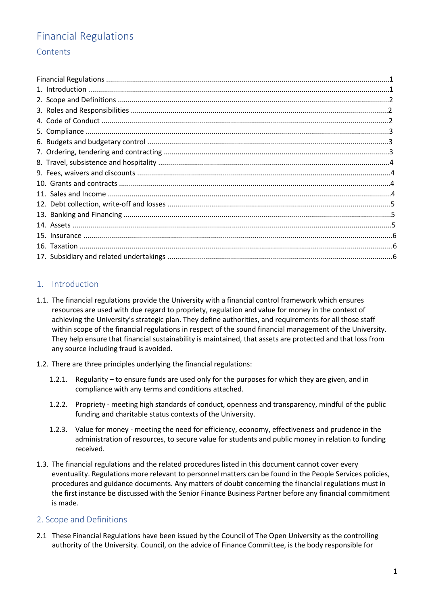# Financial Regulations **Contents**

# 1. Introduction

- 1.1. The financial regulations provide the University with a financial control framework which ensures resources are used with due regard to propriety, regulation and value for money in the context of achieving the University's strategic plan. They define authorities, and requirements for all those staff within scope of the financial regulations in respect of the sound financial management of the University. They help ensure that financial sustainability is maintained, that assets are protected and that loss from any source including fraud is avoided.
- 1.2. There are three principles underlying the financial regulations:
	- 1.2.1. Regularity to ensure funds are used only for the purposes for which they are given, and in compliance with any terms and conditions attached.
	- 1.2.2. Propriety meeting high standards of conduct, openness and transparency, mindful of the public funding and charitable status contexts of the University.
	- 1.2.3. Value for money meeting the need for efficiency, economy, effectiveness and prudence in the administration of resources, to secure value for students and public money in relation to funding received.
- 1.3. The financial regulations and the related procedures listed in this document cannot cover every eventuality. Regulations more relevant to personnel matters can be found in the People Services policies, procedures and guidance documents. Any matters of doubt concerning the financial regulations must in the first instance be discussed with the Senior Finance Business Partner before any financial commitment is made.

### 2. Scope and Definitions

2.1 These Financial Regulations have been issued by the Council of The Open University as the controlling authority of the University. Council, on the advice of Finance Committee, is the body responsible for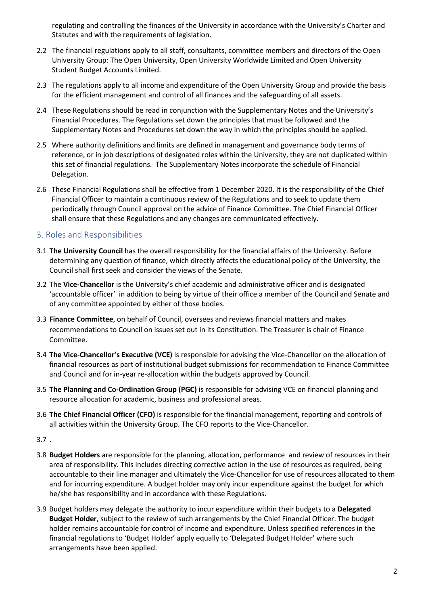regulating and controlling the finances of the University in accordance with the University's Charter and Statutes and with the requirements of legislation.

- 2.2 The financial regulations apply to all staff, consultants, committee members and directors of the Open University Group: The Open University, Open University Worldwide Limited and Open University Student Budget Accounts Limited.
- 2.3 The regulations apply to all income and expenditure of the Open University Group and provide the basis for the efficient management and control of all finances and the safeguarding of all assets.
- 2.4 These Regulations should be read in conjunction with the Supplementary Notes and the University's Financial Procedures. The Regulations set down the principles that must be followed and the Supplementary Notes and Procedures set down the way in which the principles should be applied.
- 2.5 Where authority definitions and limits are defined in management and governance body terms of reference, or in job descriptions of designated roles within the University, they are not duplicated within this set of financial regulations. The Supplementary Notes incorporate the schedule of Financial Delegation.
- 2.6 These Financial Regulations shall be effective from 1 December 2020. It is the responsibility of the Chief Financial Officer to maintain a continuous review of the Regulations and to seek to update them periodically through Council approval on the advice of Finance Committee. The Chief Financial Officer shall ensure that these Regulations and any changes are communicated effectively.

# 3. Roles and Responsibilities

- 3.1 **The University Council** has the overall responsibility for the financial affairs of the University. Before determining any question of finance, which directly affects the educational policy of the University, the Council shall first seek and consider the views of the Senate.
- 3.2 The **Vice-Chancellor** is the University's chief academic and administrative officer and is designated 'accountable officer' in addition to being by virtue of their office a member of the Council and Senate and of any committee appointed by either of those bodies.
- 3.3 **Finance Committee**, on behalf of Council, oversees and reviews financial matters and makes recommendations to Council on issues set out in its Constitution. The Treasurer is chair of Finance Committee.
- 3.4 **The Vice-Chancellor's Executive (VCE)** is responsible for advising the Vice-Chancellor on the allocation of financial resources as part of institutional budget submissions for recommendation to Finance Committee and Council and for in-year re-allocation within the budgets approved by Council.
- 3.5 **The Planning and Co-Ordination Group (PGC)** is responsible for advising VCE on financial planning and resource allocation for academic, business and professional areas.
- 3.6 **The Chief Financial Officer (CFO)** is responsible for the financial management, reporting and controls of all activities within the University Group. The CFO reports to the Vice-Chancellor.

3.7 .

- 3.8 **Budget Holders** are responsible for the planning, allocation, performance and review of resources in their area of responsibility. This includes directing corrective action in the use of resources as required, being accountable to their line manager and ultimately the Vice-Chancellor for use of resources allocated to them and for incurring expenditure. A budget holder may only incur expenditure against the budget for which he/she has responsibility and in accordance with these Regulations.
- 3.9 Budget holders may delegate the authority to incur expenditure within their budgets to a **Delegated Budget Holder**, subject to the review of such arrangements by the Chief Financial Officer. The budget holder remains accountable for control of income and expenditure. Unless specified references in the financial regulations to 'Budget Holder' apply equally to 'Delegated Budget Holder' where such arrangements have been applied.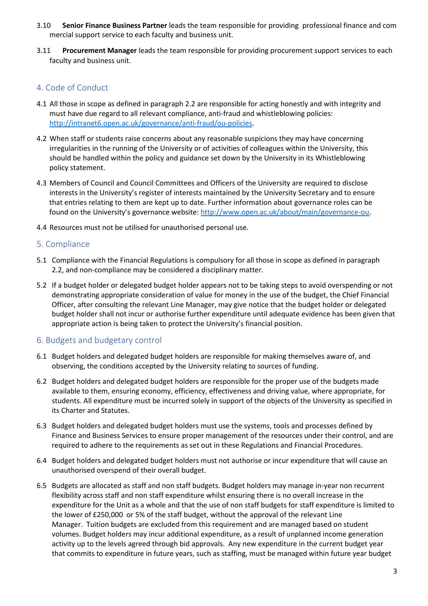- 3.10 **Senior Finance Business Partner** leads the team responsible for providing professional finance and com mercial support service to each faculty and business unit.
- 3.11 **Procurement Manager** leads the team responsible for providing procurement support services to each faculty and business unit.

## 4. Code of Conduct

- 4.1 All those in scope as defined in paragraph 2.2 are responsible for acting honestly and with integrity and must have due regard to all relevant compliance, anti-fraud and whistleblowing policies: [http://intranet6.open.ac.uk/governance/anti-fraud/ou-policies.](http://intranet6.open.ac.uk/governance/anti%E2%80%90fraud/ou%E2%80%90policies)
- 4.2 When staff or students raise concerns about any reasonable suspicions they may have concerning irregularities in the running of the University or of activities of colleagues within the University, this should be handled within the policy and guidance set down by the University in its Whistleblowing policy statement.
- 4.3 Members of Council and Council Committees and Officers of the University are required to disclose interests in the University's register of interests maintained by the University Secretary and to ensure that entries relating to them are kept up to date. Further information about governance roles can be found on the University's governance website: [http://www.open.ac.uk/about/main/governance-ou.](http://www.open.ac.uk/about/main/governance%E2%80%90ou)
- 4.4 Resources must not be utilised for unauthorised personal use.

### 5. Compliance

- 5.1 Compliance with the Financial Regulations is compulsory for all those in scope as defined in paragraph 2.2, and non-compliance may be considered a disciplinary matter.
- 5.2 If a budget holder or delegated budget holder appears not to be taking steps to avoid overspending or not demonstrating appropriate consideration of value for money in the use of the budget, the Chief Financial Officer, after consulting the relevant Line Manager, may give notice that the budget holder or delegated budget holder shall not incur or authorise further expenditure until adequate evidence has been given that appropriate action is being taken to protect the University's financial position.

### 6. Budgets and budgetary control

- 6.1 Budget holders and delegated budget holders are responsible for making themselves aware of, and observing, the conditions accepted by the University relating to sources of funding.
- 6.2 Budget holders and delegated budget holders are responsible for the proper use of the budgets made available to them, ensuring economy, efficiency, effectiveness and driving value, where appropriate, for students. All expenditure must be incurred solely in support of the objects of the University as specified in its Charter and Statutes.
- 6.3 Budget holders and delegated budget holders must use the systems, tools and processes defined by Finance and Business Services to ensure proper management of the resources under their control, and are required to adhere to the requirements as set out in these Regulations and Financial Procedures.
- 6.4 Budget holders and delegated budget holders must not authorise or incur expenditure that will cause an unauthorised overspend of their overall budget.
- 6.5 Budgets are allocated as staff and non staff budgets. Budget holders may manage in-year non recurrent flexibility across staff and non staff expenditure whilst ensuring there is no overall increase in the expenditure for the Unit as a whole and that the use of non staff budgets for staff expenditure is limited to the lower of £250,000 or 5% of the staff budget, without the approval of the relevant Line Manager. Tuition budgets are excluded from this requirement and are managed based on student volumes. Budget holders may incur additional expenditure, as a result of unplanned income generation activity up to the levels agreed through bid approvals. Any new expenditure in the current budget year that commits to expenditure in future years, such as staffing, must be managed within future year budget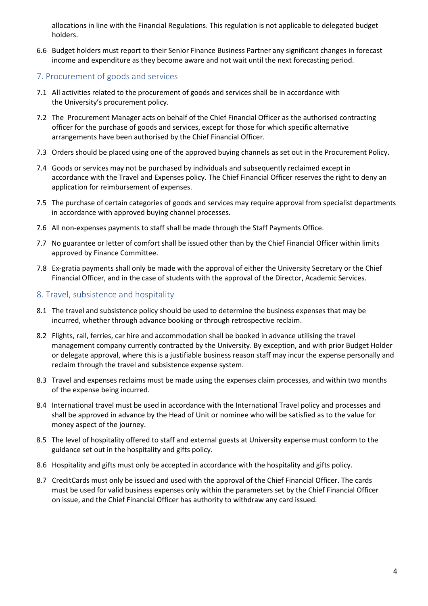allocations in line with the Financial Regulations. This regulation is not applicable to delegated budget holders.

6.6 Budget holders must report to their Senior Finance Business Partner any significant changes in forecast income and expenditure as they become aware and not wait until the next forecasting period.

### 7. Procurement of goods and services

- 7.1 All activities related to the procurement of goods and services shall be in accordance with the University's procurement policy.
- 7.2 The Procurement Manager acts on behalf of the Chief Financial Officer as the authorised contracting officer for the purchase of goods and services, except for those for which specific alternative arrangements have been authorised by the Chief Financial Officer.
- 7.3 Orders should be placed using one of the approved buying channels as set out in the Procurement Policy.
- 7.4 Goods or services may not be purchased by individuals and subsequently reclaimed except in accordance with the Travel and Expenses policy. The Chief Financial Officer reserves the right to deny an application for reimbursement of expenses.
- 7.5 The purchase of certain categories of goods and services may require approval from specialist departments in accordance with approved buying channel processes.
- 7.6 All non-expenses payments to staff shall be made through the Staff Payments Office.
- 7.7 No guarantee or letter of comfort shall be issued other than by the Chief Financial Officer within limits approved by Finance Committee.
- 7.8 Ex-gratia payments shall only be made with the approval of either the University Secretary or the Chief Financial Officer, and in the case of students with the approval of the Director, Academic Services.

# 8. Travel, subsistence and hospitality

- 8.1 The travel and subsistence policy should be used to determine the business expenses that may be incurred, whether through advance booking or through retrospective reclaim.
- 8.2 Flights, rail, ferries, car hire and accommodation shall be booked in advance utilising the travel management company currently contracted by the University. By exception, and with prior Budget Holder or delegate approval, where this is a justifiable business reason staff may incur the expense personally and reclaim through the travel and subsistence expense system.
- 8.3 Travel and expenses reclaims must be made using the expenses claim processes, and within two months of the expense being incurred.
- 8.4 International travel must be used in accordance with the International Travel policy and processes and shall be approved in advance by the Head of Unit or nominee who will be satisfied as to the value for money aspect of the journey.
- 8.5 The level of hospitality offered to staff and external guests at University expense must conform to the guidance set out in the hospitality and gifts policy.
- 8.6 Hospitality and gifts must only be accepted in accordance with the hospitality and gifts policy.
- 8.7 CreditCards must only be issued and used with the approval of the Chief Financial Officer. The cards must be used for valid business expenses only within the parameters set by the Chief Financial Officer on issue, and the Chief Financial Officer has authority to withdraw any card issued.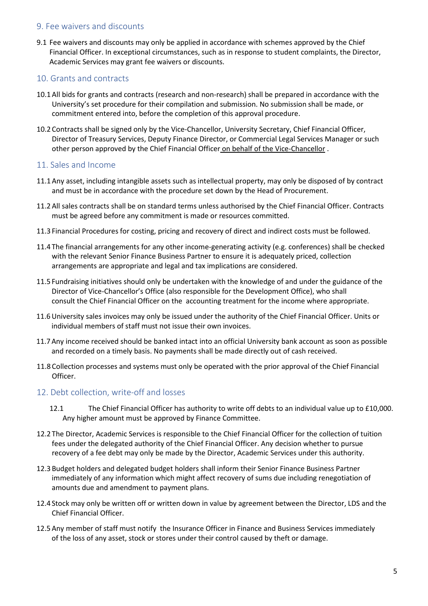#### 9. Fee waivers and discounts

9.1 Fee waivers and discounts may only be applied in accordance with schemes approved by the Chief Financial Officer. In exceptional circumstances, such as in response to student complaints, the Director, Academic Services may grant fee waivers or discounts.

#### 10. Grants and contracts

- 10.1 All bids for grants and contracts (research and non-research) shall be prepared in accordance with the University's set procedure for their compilation and submission. No submission shall be made, or commitment entered into, before the completion of this approval procedure.
- 10.2 Contracts shall be signed only by the Vice-Chancellor, University Secretary, Chief Financial Officer, Director of Treasury Services, Deputy Finance Director, or Commercial Legal Services Manager or such other person approved by the Chief Financial Officer on behalf of the Vice-Chancellor .

#### 11. Sales and Income

- 11.1 Any asset, including intangible assets such as intellectual property, may only be disposed of by contract and must be in accordance with the procedure set down by the Head of Procurement.
- 11.2 All sales contracts shall be on standard terms unless authorised by the Chief Financial Officer. Contracts must be agreed before any commitment is made or resources committed.
- 11.3 Financial Procedures for costing, pricing and recovery of direct and indirect costs must be followed.
- 11.4 The financial arrangements for any other income-generating activity (e.g. conferences) shall be checked with the relevant Senior Finance Business Partner to ensure it is adequately priced, collection arrangements are appropriate and legal and tax implications are considered.
- 11.5 Fundraising initiatives should only be undertaken with the knowledge of and under the guidance of the Director of Vice-Chancellor's Office (also responsible for the Development Office), who shall consult the Chief Financial Officer on the accounting treatment for the income where appropriate.
- 11.6University sales invoices may only be issued under the authority of the Chief Financial Officer. Units or individual members of staff must not issue their own invoices.
- 11.7 Any income received should be banked intact into an official University bank account as soon as possible and recorded on a timely basis. No payments shall be made directly out of cash received.
- 11.8 Collection processes and systems must only be operated with the prior approval of the Chief Financial Officer.

#### 12. Debt collection, write-off and losses

- 12.1 The Chief Financial Officer has authority to write off debts to an individual value up to £10,000. Any higher amount must be approved by Finance Committee.
- 12.2 The Director, Academic Services is responsible to the Chief Financial Officer for the collection of tuition fees under the delegated authority of the Chief Financial Officer. Any decision whether to pursue recovery of a fee debt may only be made by the Director, Academic Services under this authority.
- 12.3 Budget holders and delegated budget holders shall inform their Senior Finance Business Partner immediately of any information which might affect recovery of sums due including renegotiation of amounts due and amendment to payment plans.
- 12.4 Stock may only be written off or written down in value by agreement between the Director, LDS and the Chief Financial Officer.
- 12.5 Any member of staff must notify the Insurance Officer in Finance and Business Services immediately of the loss of any asset, stock or stores under their control caused by theft or damage.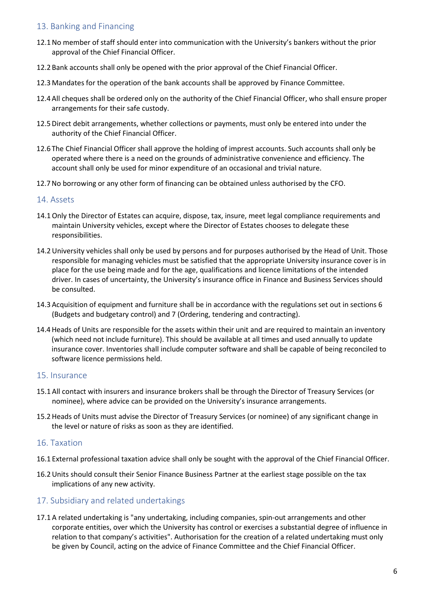# 13. Banking and Financing

- 12.1No member of staff should enter into communication with the University's bankers without the prior approval of the Chief Financial Officer.
- 12.2 Bank accounts shall only be opened with the prior approval of the Chief Financial Officer.
- 12.3 Mandates for the operation of the bank accounts shall be approved by Finance Committee.
- 12.4 All cheques shall be ordered only on the authority of the Chief Financial Officer, who shall ensure proper arrangements for their safe custody.
- 12.5Direct debit arrangements, whether collections or payments, must only be entered into under the authority of the Chief Financial Officer.
- 12.6 The Chief Financial Officer shall approve the holding of imprest accounts. Such accounts shall only be operated where there is a need on the grounds of administrative convenience and efficiency. The account shall only be used for minor expenditure of an occasional and trivial nature.
- 12.7No borrowing or any other form of financing can be obtained unless authorised by the CFO.

#### 14. Assets

- 14.1Only the Director of Estates can acquire, dispose, tax, insure, meet legal compliance requirements and maintain University vehicles, except where the Director of Estates chooses to delegate these responsibilities.
- 14.2University vehicles shall only be used by persons and for purposes authorised by the Head of Unit. Those responsible for managing vehicles must be satisfied that the appropriate University insurance cover is in place for the use being made and for the age, qualifications and licence limitations of the intended driver. In cases of uncertainty, the University's insurance office in Finance and Business Services should be consulted.
- 14.3 Acquisition of equipment and furniture shall be in accordance with the regulations set out in sections 6 (Budgets and budgetary control) and 7 (Ordering, tendering and contracting).
- 14.4Heads of Units are responsible for the assets within their unit and are required to maintain an inventory (which need not include furniture). This should be available at all times and used annually to update insurance cover. Inventories shall include computer software and shall be capable of being reconciled to software licence permissions held.

#### 15. Insurance

- 15.1 All contact with insurers and insurance brokers shall be through the Director of Treasury Services (or nominee), where advice can be provided on the University's insurance arrangements.
- 15.2Heads of Units must advise the Director of Treasury Services (or nominee) of any significant change in the level or nature of risks as soon as they are identified.

#### 16. Taxation

- 16.1 External professional taxation advice shall only be sought with the approval of the Chief Financial Officer.
- 16.2Units should consult their Senior Finance Business Partner at the earliest stage possible on the tax implications of any new activity.

### 17. Subsidiary and related undertakings

17.1 A related undertaking is "any undertaking, including companies, spin-out arrangements and other corporate entities, over which the University has control or exercises a substantial degree of influence in relation to that company's activities". Authorisation for the creation of a related undertaking must only be given by Council, acting on the advice of Finance Committee and the Chief Financial Officer.